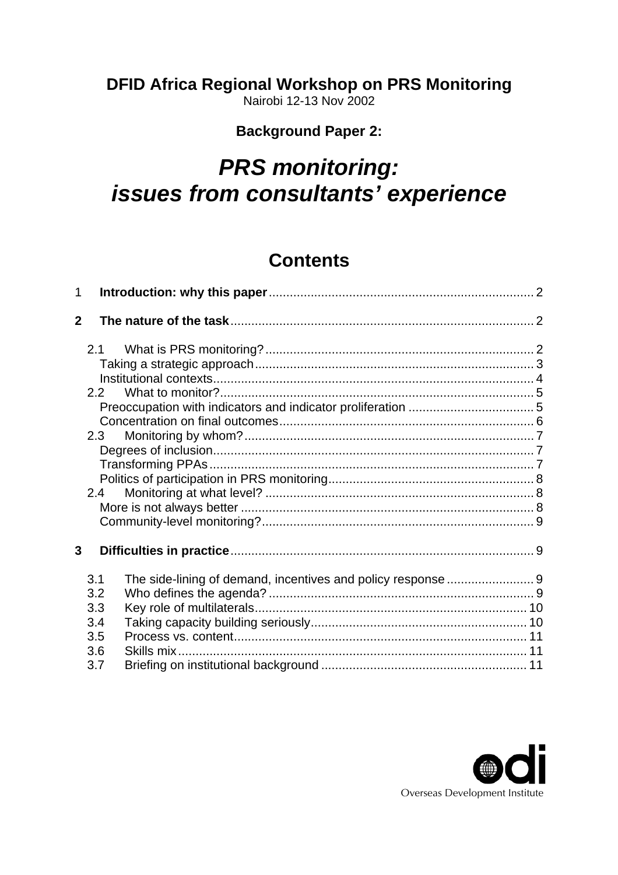# **DFID Africa Regional Workshop on PRS Monitoring**

Nairobi 12-13 Nov 2002

# **Background Paper 2:**

# *PRS monitoring: issues from consultants' experience*

# **Contents**

| $\mathbf{1}$   |     |  |  |  |  |
|----------------|-----|--|--|--|--|
| $\overline{2}$ |     |  |  |  |  |
|                |     |  |  |  |  |
|                |     |  |  |  |  |
|                |     |  |  |  |  |
|                | 2.2 |  |  |  |  |
|                |     |  |  |  |  |
|                |     |  |  |  |  |
|                | 2.3 |  |  |  |  |
|                |     |  |  |  |  |
|                |     |  |  |  |  |
|                |     |  |  |  |  |
|                | 2.4 |  |  |  |  |
|                |     |  |  |  |  |
|                |     |  |  |  |  |
| 3              |     |  |  |  |  |
|                |     |  |  |  |  |
|                | 3.1 |  |  |  |  |
|                | 3.2 |  |  |  |  |
|                | 3.3 |  |  |  |  |
|                | 3.4 |  |  |  |  |
|                | 3.5 |  |  |  |  |
|                | 3.6 |  |  |  |  |
|                | 3.7 |  |  |  |  |

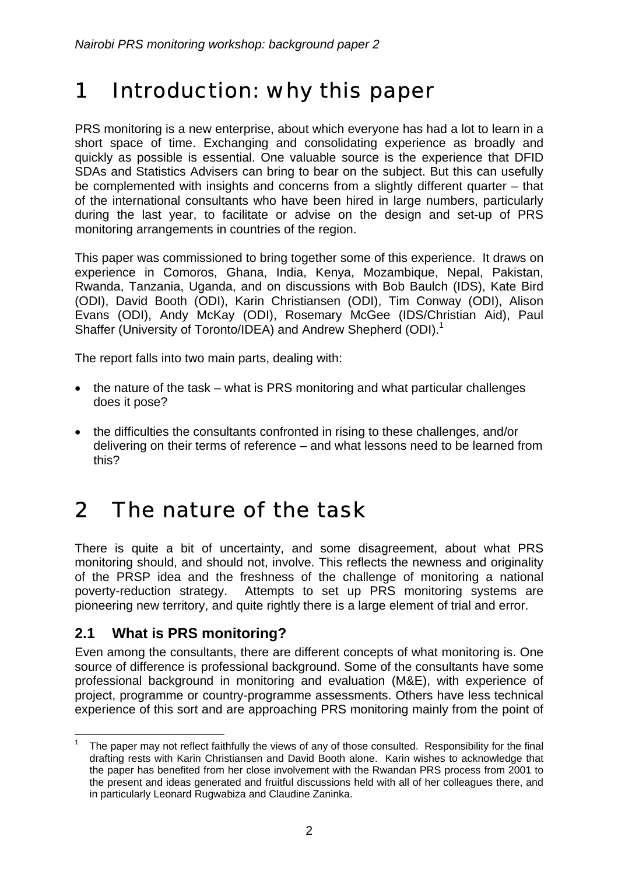# <span id="page-1-0"></span>1 Introduction: why this paper

PRS monitoring is a new enterprise, about which everyone has had a lot to learn in a short space of time. Exchanging and consolidating experience as broadly and quickly as possible is essential. One valuable source is the experience that DFID SDAs and Statistics Advisers can bring to bear on the subject. But this can usefully be complemented with insights and concerns from a slightly different quarter – that of the international consultants who have been hired in large numbers, particularly during the last year, to facilitate or advise on the design and set-up of PRS monitoring arrangements in countries of the region.

This paper was commissioned to bring together some of this experience. It draws on experience in Comoros, Ghana, India, Kenya, Mozambique, Nepal, Pakistan, Rwanda, Tanzania, Uganda, and on discussions with Bob Baulch (IDS), Kate Bird (ODI), David Booth (ODI), Karin Christiansen (ODI), Tim Conway (ODI), Alison Evans (ODI), Andy McKay (ODI), Rosemary McGee (IDS/Christian Aid), Paul Shaffer (University of Toronto/IDEA) and Andrew Shepherd (ODI).<sup>[1](#page-1-1)</sup>

The report falls into two main parts, dealing with:

- the nature of the task what is PRS monitoring and what particular challenges does it pose?
- the difficulties the consultants confronted in rising to these challenges, and/or delivering on their terms of reference – and what lessons need to be learned from this?

# 2 The nature of the task

There is quite a bit of uncertainty, and some disagreement, about what PRS monitoring should, and should not, involve. This reflects the newness and originality of the PRSP idea and the freshness of the challenge of monitoring a national poverty-reduction strategy. Attempts to set up PRS monitoring systems are pioneering new territory, and quite rightly there is a large element of trial and error.

# **2.1 What is PRS monitoring?**

Even among the consultants, there are different concepts of what monitoring is. One source of difference is professional background. Some of the consultants have some professional background in monitoring and evaluation (M&E), with experience of project, programme or country-programme assessments. Others have less technical experience of this sort and are approaching PRS monitoring mainly from the point of

<span id="page-1-1"></span>The paper may not reflect faithfully the views of any of those consulted. Responsibility for the final drafting rests with Karin Christiansen and David Booth alone. Karin wishes to acknowledge that the paper has benefited from her close involvement with the Rwandan PRS process from 2001 to the present and ideas generated and fruitful discussions held with all of her colleagues there, and in particularly Leonard Rugwabiza and Claudine Zaninka.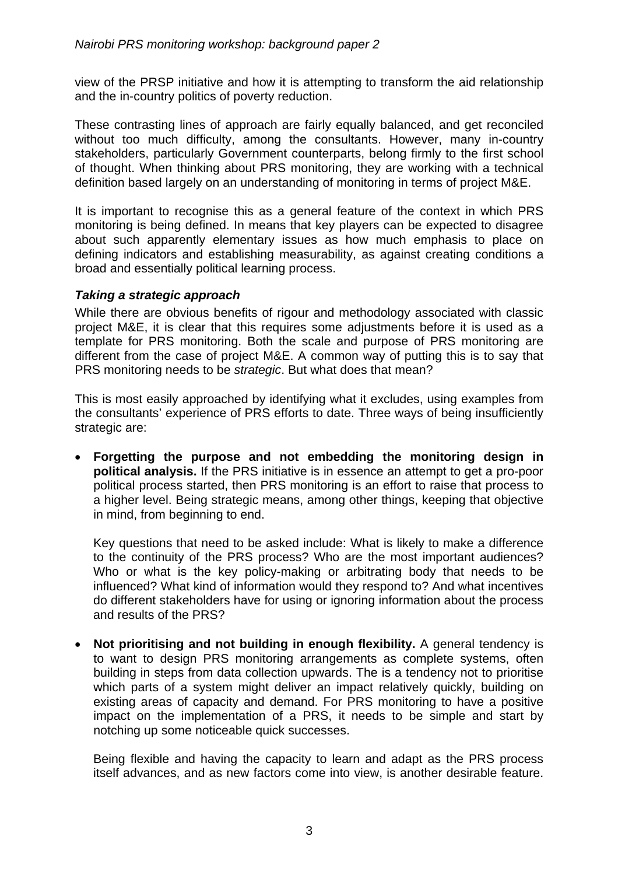<span id="page-2-0"></span>view of the PRSP initiative and how it is attempting to transform the aid relationship and the in-country politics of poverty reduction.

These contrasting lines of approach are fairly equally balanced, and get reconciled without too much difficulty, among the consultants. However, many in-country stakeholders, particularly Government counterparts, belong firmly to the first school of thought. When thinking about PRS monitoring, they are working with a technical definition based largely on an understanding of monitoring in terms of project M&E.

It is important to recognise this as a general feature of the context in which PRS monitoring is being defined. In means that key players can be expected to disagree about such apparently elementary issues as how much emphasis to place on defining indicators and establishing measurability, as against creating conditions a broad and essentially political learning process.

#### *Taking a strategic approach*

While there are obvious benefits of rigour and methodology associated with classic project M&E, it is clear that this requires some adjustments before it is used as a template for PRS monitoring. Both the scale and purpose of PRS monitoring are different from the case of project M&E. A common way of putting this is to say that PRS monitoring needs to be *strategic*. But what does that mean?

This is most easily approached by identifying what it excludes, using examples from the consultants' experience of PRS efforts to date. Three ways of being insufficiently strategic are:

• **Forgetting the purpose and not embedding the monitoring design in political analysis.** If the PRS initiative is in essence an attempt to get a pro-poor political process started, then PRS monitoring is an effort to raise that process to a higher level. Being strategic means, among other things, keeping that objective in mind, from beginning to end.

Key questions that need to be asked include: What is likely to make a difference to the continuity of the PRS process? Who are the most important audiences? Who or what is the key policy-making or arbitrating body that needs to be influenced? What kind of information would they respond to? And what incentives do different stakeholders have for using or ignoring information about the process and results of the PRS?

• **Not prioritising and not building in enough flexibility.** A general tendency is to want to design PRS monitoring arrangements as complete systems, often building in steps from data collection upwards. The is a tendency not to prioritise which parts of a system might deliver an impact relatively quickly, building on existing areas of capacity and demand. For PRS monitoring to have a positive impact on the implementation of a PRS, it needs to be simple and start by notching up some noticeable quick successes.

Being flexible and having the capacity to learn and adapt as the PRS process itself advances, and as new factors come into view, is another desirable feature.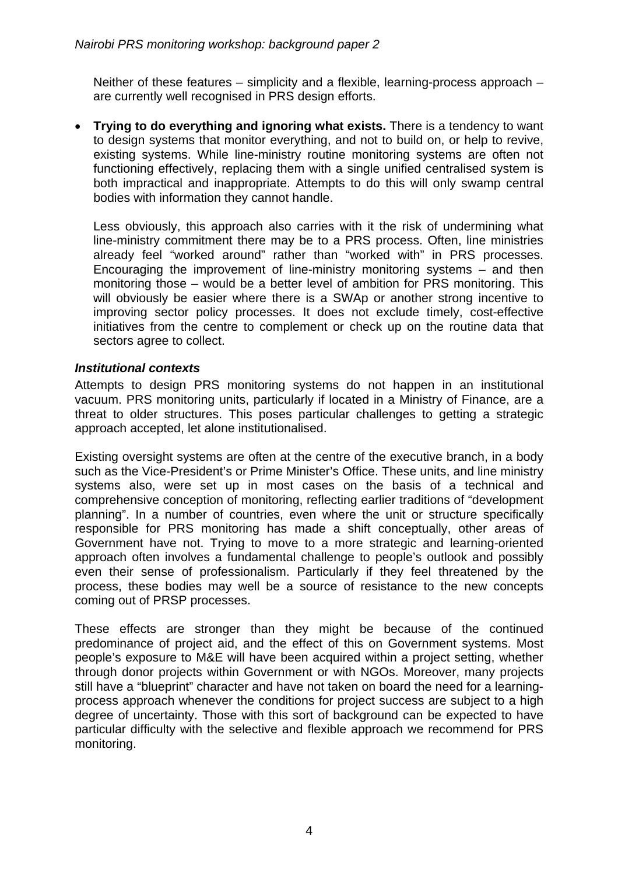<span id="page-3-0"></span>Neither of these features – simplicity and a flexible, learning-process approach – are currently well recognised in PRS design efforts.

• **Trying to do everything and ignoring what exists.** There is a tendency to want to design systems that monitor everything, and not to build on, or help to revive, existing systems. While line-ministry routine monitoring systems are often not functioning effectively, replacing them with a single unified centralised system is both impractical and inappropriate. Attempts to do this will only swamp central bodies with information they cannot handle.

Less obviously, this approach also carries with it the risk of undermining what line-ministry commitment there may be to a PRS process. Often, line ministries already feel "worked around" rather than "worked with" in PRS processes. Encouraging the improvement of line-ministry monitoring systems – and then monitoring those – would be a better level of ambition for PRS monitoring. This will obviously be easier where there is a SWAp or another strong incentive to improving sector policy processes. It does not exclude timely, cost-effective initiatives from the centre to complement or check up on the routine data that sectors agree to collect.

#### *Institutional contexts*

Attempts to design PRS monitoring systems do not happen in an institutional vacuum. PRS monitoring units, particularly if located in a Ministry of Finance, are a threat to older structures. This poses particular challenges to getting a strategic approach accepted, let alone institutionalised.

Existing oversight systems are often at the centre of the executive branch, in a body such as the Vice-President's or Prime Minister's Office. These units, and line ministry systems also, were set up in most cases on the basis of a technical and comprehensive conception of monitoring, reflecting earlier traditions of "development planning". In a number of countries, even where the unit or structure specifically responsible for PRS monitoring has made a shift conceptually, other areas of Government have not. Trying to move to a more strategic and learning-oriented approach often involves a fundamental challenge to people's outlook and possibly even their sense of professionalism. Particularly if they feel threatened by the process, these bodies may well be a source of resistance to the new concepts coming out of PRSP processes.

These effects are stronger than they might be because of the continued predominance of project aid, and the effect of this on Government systems. Most people's exposure to M&E will have been acquired within a project setting, whether through donor projects within Government or with NGOs. Moreover, many projects still have a "blueprint" character and have not taken on board the need for a learningprocess approach whenever the conditions for project success are subject to a high degree of uncertainty. Those with this sort of background can be expected to have particular difficulty with the selective and flexible approach we recommend for PRS monitoring.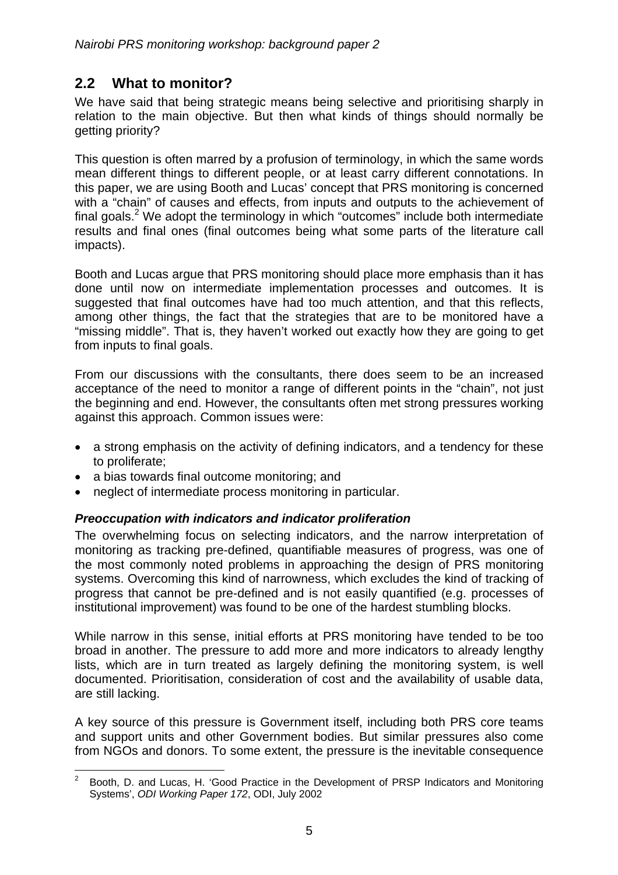# <span id="page-4-0"></span>**2.2 What to monitor?**

We have said that being strategic means being selective and prioritising sharply in relation to the main objective. But then what kinds of things should normally be getting priority?

This question is often marred by a profusion of terminology, in which the same words mean different things to different people, or at least carry different connotations. In this paper, we are using Booth and Lucas' concept that PRS monitoring is concerned with a "chain" of causes and effects, from inputs and outputs to the achievement of final goals.<sup>[2](#page-4-1)</sup> We adopt the terminology in which "outcomes" include both intermediate results and final ones (final outcomes being what some parts of the literature call impacts).

Booth and Lucas argue that PRS monitoring should place more emphasis than it has done until now on intermediate implementation processes and outcomes. It is suggested that final outcomes have had too much attention, and that this reflects, among other things, the fact that the strategies that are to be monitored have a "missing middle". That is, they haven't worked out exactly how they are going to get from inputs to final goals.

From our discussions with the consultants, there does seem to be an increased acceptance of the need to monitor a range of different points in the "chain", not just the beginning and end. However, the consultants often met strong pressures working against this approach. Common issues were:

- a strong emphasis on the activity of defining indicators, and a tendency for these to proliferate;
- a bias towards final outcome monitoring; and
- neglect of intermediate process monitoring in particular.

#### *Preoccupation with indicators and indicator proliferation*

The overwhelming focus on selecting indicators, and the narrow interpretation of monitoring as tracking pre-defined, quantifiable measures of progress, was one of the most commonly noted problems in approaching the design of PRS monitoring systems. Overcoming this kind of narrowness, which excludes the kind of tracking of progress that cannot be pre-defined and is not easily quantified (e.g. processes of institutional improvement) was found to be one of the hardest stumbling blocks.

While narrow in this sense, initial efforts at PRS monitoring have tended to be too broad in another. The pressure to add more and more indicators to already lengthy lists, which are in turn treated as largely defining the monitoring system, is well documented. Prioritisation, consideration of cost and the availability of usable data, are still lacking.

A key source of this pressure is Government itself, including both PRS core teams and support units and other Government bodies. But similar pressures also come from NGOs and donors. To some extent, the pressure is the inevitable consequence

<span id="page-4-1"></span> $2^2$  Booth, D. and Lucas, H. 'Good Practice in the Development of PRSP Indicators and Monitoring Systems', *ODI Working Paper 172*, ODI, July 2002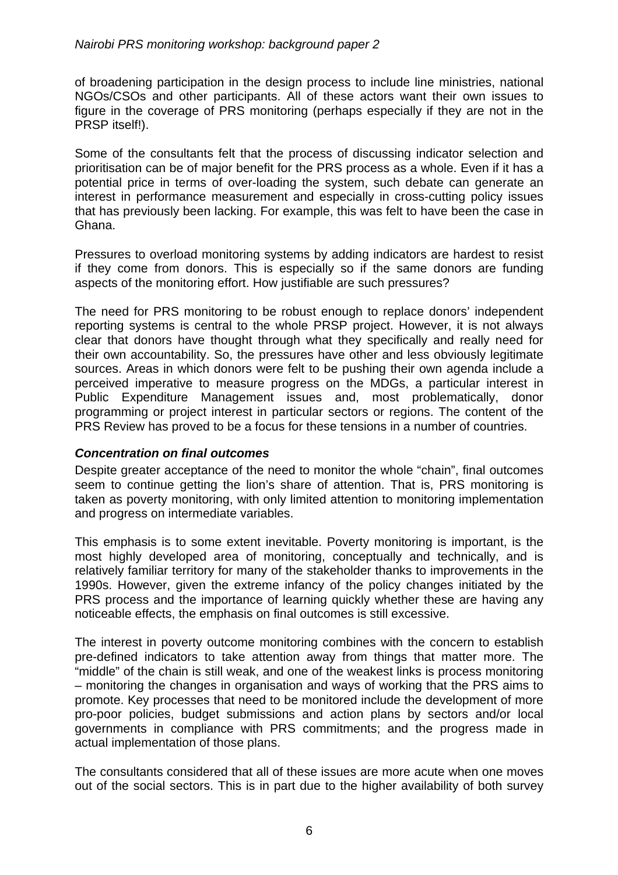<span id="page-5-0"></span>of broadening participation in the design process to include line ministries, national NGOs/CSOs and other participants. All of these actors want their own issues to figure in the coverage of PRS monitoring (perhaps especially if they are not in the PRSP itself!).

Some of the consultants felt that the process of discussing indicator selection and prioritisation can be of major benefit for the PRS process as a whole. Even if it has a potential price in terms of over-loading the system, such debate can generate an interest in performance measurement and especially in cross-cutting policy issues that has previously been lacking. For example, this was felt to have been the case in Ghana.

Pressures to overload monitoring systems by adding indicators are hardest to resist if they come from donors. This is especially so if the same donors are funding aspects of the monitoring effort. How justifiable are such pressures?

The need for PRS monitoring to be robust enough to replace donors' independent reporting systems is central to the whole PRSP project. However, it is not always clear that donors have thought through what they specifically and really need for their own accountability. So, the pressures have other and less obviously legitimate sources. Areas in which donors were felt to be pushing their own agenda include a perceived imperative to measure progress on the MDGs, a particular interest in Public Expenditure Management issues and, most problematically, donor programming or project interest in particular sectors or regions. The content of the PRS Review has proved to be a focus for these tensions in a number of countries.

#### *Concentration on final outcomes*

Despite greater acceptance of the need to monitor the whole "chain", final outcomes seem to continue getting the lion's share of attention. That is, PRS monitoring is taken as poverty monitoring, with only limited attention to monitoring implementation and progress on intermediate variables.

This emphasis is to some extent inevitable. Poverty monitoring is important, is the most highly developed area of monitoring, conceptually and technically, and is relatively familiar territory for many of the stakeholder thanks to improvements in the 1990s. However, given the extreme infancy of the policy changes initiated by the PRS process and the importance of learning quickly whether these are having any noticeable effects, the emphasis on final outcomes is still excessive.

The interest in poverty outcome monitoring combines with the concern to establish pre-defined indicators to take attention away from things that matter more. The "middle" of the chain is still weak, and one of the weakest links is process monitoring – monitoring the changes in organisation and ways of working that the PRS aims to promote. Key processes that need to be monitored include the development of more pro-poor policies, budget submissions and action plans by sectors and/or local governments in compliance with PRS commitments; and the progress made in actual implementation of those plans.

The consultants considered that all of these issues are more acute when one moves out of the social sectors. This is in part due to the higher availability of both survey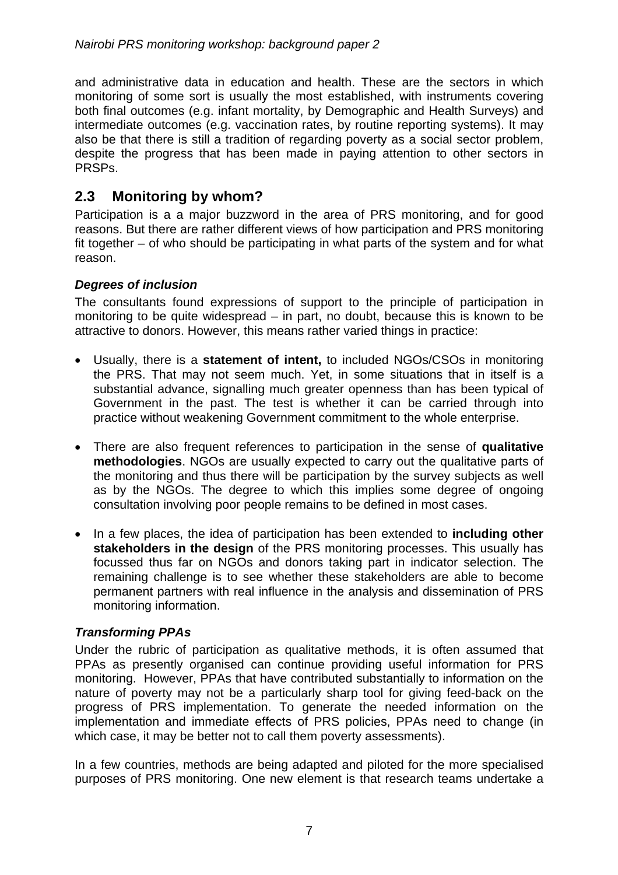<span id="page-6-0"></span>and administrative data in education and health. These are the sectors in which monitoring of some sort is usually the most established, with instruments covering both final outcomes (e.g. infant mortality, by Demographic and Health Surveys) and intermediate outcomes (e.g. vaccination rates, by routine reporting systems). It may also be that there is still a tradition of regarding poverty as a social sector problem, despite the progress that has been made in paying attention to other sectors in PRSPs.

# **2.3 Monitoring by whom?**

Participation is a a major buzzword in the area of PRS monitoring, and for good reasons. But there are rather different views of how participation and PRS monitoring fit together – of who should be participating in what parts of the system and for what reason.

#### *Degrees of inclusion*

The consultants found expressions of support to the principle of participation in monitoring to be quite widespread – in part, no doubt, because this is known to be attractive to donors. However, this means rather varied things in practice:

- Usually, there is a **statement of intent,** to included NGOs/CSOs in monitoring the PRS. That may not seem much. Yet, in some situations that in itself is a substantial advance, signalling much greater openness than has been typical of Government in the past. The test is whether it can be carried through into practice without weakening Government commitment to the whole enterprise.
- There are also frequent references to participation in the sense of **qualitative methodologies**. NGOs are usually expected to carry out the qualitative parts of the monitoring and thus there will be participation by the survey subjects as well as by the NGOs. The degree to which this implies some degree of ongoing consultation involving poor people remains to be defined in most cases.
- In a few places, the idea of participation has been extended to **including other stakeholders in the design** of the PRS monitoring processes. This usually has focussed thus far on NGOs and donors taking part in indicator selection. The remaining challenge is to see whether these stakeholders are able to become permanent partners with real influence in the analysis and dissemination of PRS monitoring information.

#### *Transforming PPAs*

Under the rubric of participation as qualitative methods, it is often assumed that PPAs as presently organised can continue providing useful information for PRS monitoring. However, PPAs that have contributed substantially to information on the nature of poverty may not be a particularly sharp tool for giving feed-back on the progress of PRS implementation. To generate the needed information on the implementation and immediate effects of PRS policies, PPAs need to change (in which case, it may be better not to call them poverty assessments).

In a few countries, methods are being adapted and piloted for the more specialised purposes of PRS monitoring. One new element is that research teams undertake a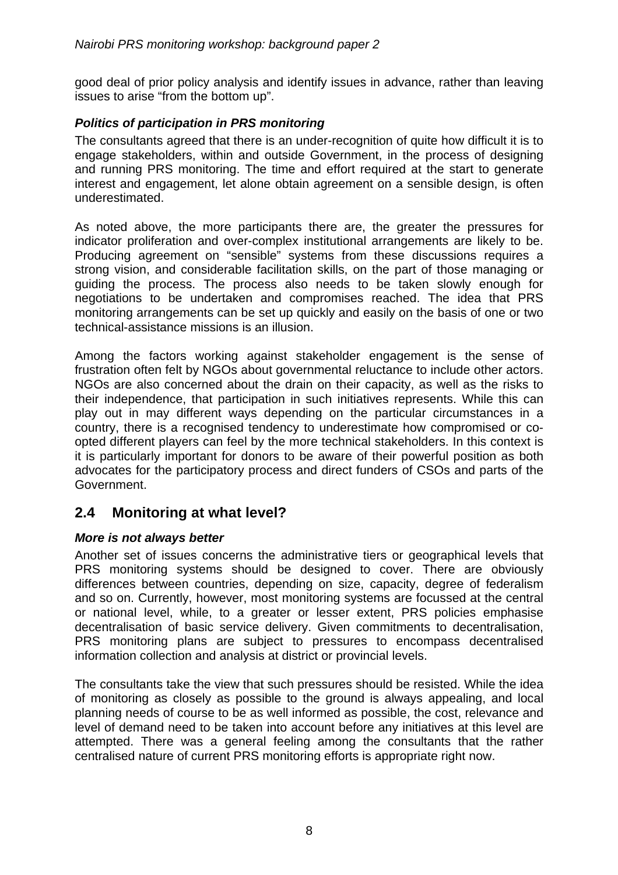<span id="page-7-0"></span>good deal of prior policy analysis and identify issues in advance, rather than leaving issues to arise "from the bottom up".

#### *Politics of participation in PRS monitoring*

The consultants agreed that there is an under-recognition of quite how difficult it is to engage stakeholders, within and outside Government, in the process of designing and running PRS monitoring. The time and effort required at the start to generate interest and engagement, let alone obtain agreement on a sensible design, is often underestimated.

As noted above, the more participants there are, the greater the pressures for indicator proliferation and over-complex institutional arrangements are likely to be. Producing agreement on "sensible" systems from these discussions requires a strong vision, and considerable facilitation skills, on the part of those managing or guiding the process. The process also needs to be taken slowly enough for negotiations to be undertaken and compromises reached. The idea that PRS monitoring arrangements can be set up quickly and easily on the basis of one or two technical-assistance missions is an illusion.

Among the factors working against stakeholder engagement is the sense of frustration often felt by NGOs about governmental reluctance to include other actors. NGOs are also concerned about the drain on their capacity, as well as the risks to their independence, that participation in such initiatives represents. While this can play out in may different ways depending on the particular circumstances in a country, there is a recognised tendency to underestimate how compromised or coopted different players can feel by the more technical stakeholders. In this context is it is particularly important for donors to be aware of their powerful position as both advocates for the participatory process and direct funders of CSOs and parts of the Government.

# **2.4 Monitoring at what level?**

#### *More is not always better*

Another set of issues concerns the administrative tiers or geographical levels that PRS monitoring systems should be designed to cover. There are obviously differences between countries, depending on size, capacity, degree of federalism and so on. Currently, however, most monitoring systems are focussed at the central or national level, while, to a greater or lesser extent, PRS policies emphasise decentralisation of basic service delivery. Given commitments to decentralisation, PRS monitoring plans are subject to pressures to encompass decentralised information collection and analysis at district or provincial levels.

The consultants take the view that such pressures should be resisted. While the idea of monitoring as closely as possible to the ground is always appealing, and local planning needs of course to be as well informed as possible, the cost, relevance and level of demand need to be taken into account before any initiatives at this level are attempted. There was a general feeling among the consultants that the rather centralised nature of current PRS monitoring efforts is appropriate right now.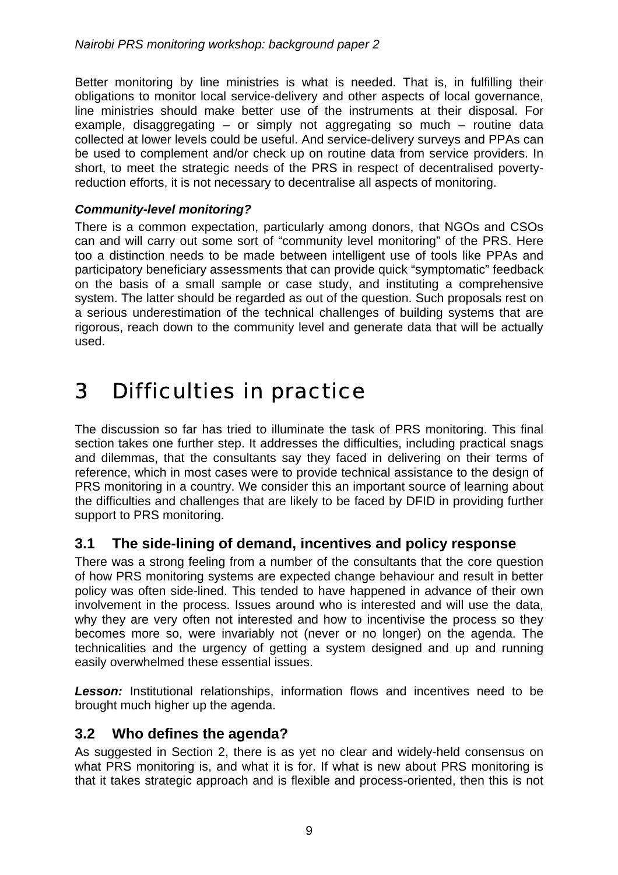<span id="page-8-0"></span>Better monitoring by line ministries is what is needed. That is, in fulfilling their obligations to monitor local service-delivery and other aspects of local governance, line ministries should make better use of the instruments at their disposal. For example, disaggregating  $-$  or simply not aggregating so much  $-$  routine data collected at lower levels could be useful. And service-delivery surveys and PPAs can be used to complement and/or check up on routine data from service providers. In short, to meet the strategic needs of the PRS in respect of decentralised povertyreduction efforts, it is not necessary to decentralise all aspects of monitoring.

#### *Community-level monitoring?*

There is a common expectation, particularly among donors, that NGOs and CSOs can and will carry out some sort of "community level monitoring" of the PRS. Here too a distinction needs to be made between intelligent use of tools like PPAs and participatory beneficiary assessments that can provide quick "symptomatic" feedback on the basis of a small sample or case study, and instituting a comprehensive system. The latter should be regarded as out of the question. Such proposals rest on a serious underestimation of the technical challenges of building systems that are rigorous, reach down to the community level and generate data that will be actually used.

# 3 Difficulties in practice

The discussion so far has tried to illuminate the task of PRS monitoring. This final section takes one further step. It addresses the difficulties, including practical snags and dilemmas, that the consultants say they faced in delivering on their terms of reference, which in most cases were to provide technical assistance to the design of PRS monitoring in a country. We consider this an important source of learning about the difficulties and challenges that are likely to be faced by DFID in providing further support to PRS monitoring.

# **3.1 The side-lining of demand, incentives and policy response**

There was a strong feeling from a number of the consultants that the core question of how PRS monitoring systems are expected change behaviour and result in better policy was often side-lined. This tended to have happened in advance of their own involvement in the process. Issues around who is interested and will use the data, why they are very often not interested and how to incentivise the process so they becomes more so, were invariably not (never or no longer) on the agenda. The technicalities and the urgency of getting a system designed and up and running easily overwhelmed these essential issues.

**Lesson:** Institutional relationships, information flows and incentives need to be brought much higher up the agenda.

#### **3.2 Who defines the agenda?**

As suggested in Section 2, there is as yet no clear and widely-held consensus on what PRS monitoring is, and what it is for. If what is new about PRS monitoring is that it takes strategic approach and is flexible and process-oriented, then this is not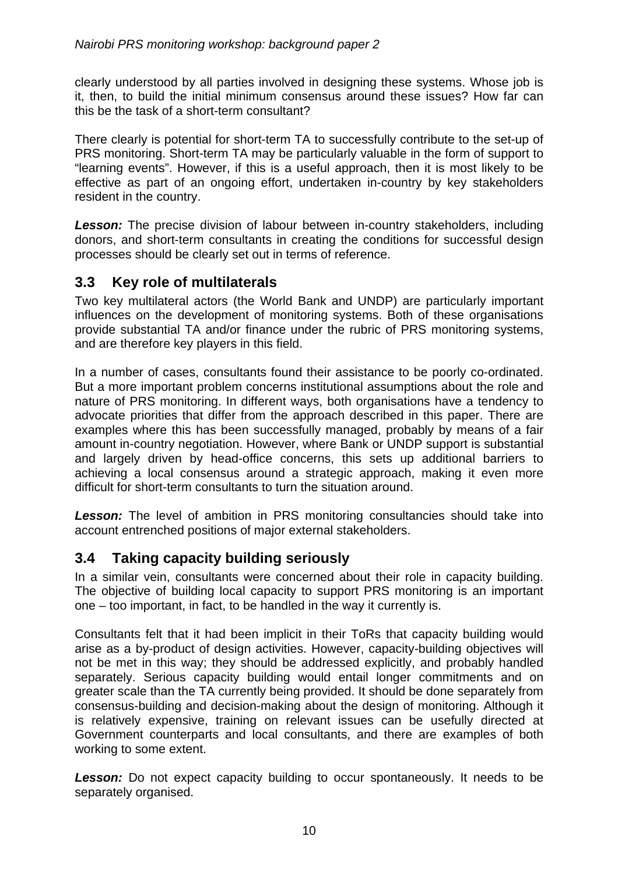<span id="page-9-0"></span>clearly understood by all parties involved in designing these systems. Whose job is it, then, to build the initial minimum consensus around these issues? How far can this be the task of a short-term consultant?

There clearly is potential for short-term TA to successfully contribute to the set-up of PRS monitoring. Short-term TA may be particularly valuable in the form of support to "learning events". However, if this is a useful approach, then it is most likely to be effective as part of an ongoing effort, undertaken in-country by key stakeholders resident in the country.

*Lesson:* The precise division of labour between in-country stakeholders, including donors, and short-term consultants in creating the conditions for successful design processes should be clearly set out in terms of reference.

### **3.3 Key role of multilaterals**

Two key multilateral actors (the World Bank and UNDP) are particularly important influences on the development of monitoring systems. Both of these organisations provide substantial TA and/or finance under the rubric of PRS monitoring systems, and are therefore key players in this field.

In a number of cases, consultants found their assistance to be poorly co-ordinated. But a more important problem concerns institutional assumptions about the role and nature of PRS monitoring. In different ways, both organisations have a tendency to advocate priorities that differ from the approach described in this paper. There are examples where this has been successfully managed, probably by means of a fair amount in-country negotiation. However, where Bank or UNDP support is substantial and largely driven by head-office concerns, this sets up additional barriers to achieving a local consensus around a strategic approach, making it even more difficult for short-term consultants to turn the situation around.

**Lesson:** The level of ambition in PRS monitoring consultancies should take into account entrenched positions of major external stakeholders.

# **3.4 Taking capacity building seriously**

In a similar vein, consultants were concerned about their role in capacity building. The objective of building local capacity to support PRS monitoring is an important one – too important, in fact, to be handled in the way it currently is.

Consultants felt that it had been implicit in their ToRs that capacity building would arise as a by-product of design activities. However, capacity-building objectives will not be met in this way; they should be addressed explicitly, and probably handled separately. Serious capacity building would entail longer commitments and on greater scale than the TA currently being provided. It should be done separately from consensus-building and decision-making about the design of monitoring. Although it is relatively expensive, training on relevant issues can be usefully directed at Government counterparts and local consultants, and there are examples of both working to some extent.

**Lesson:** Do not expect capacity building to occur spontaneously. It needs to be separately organised.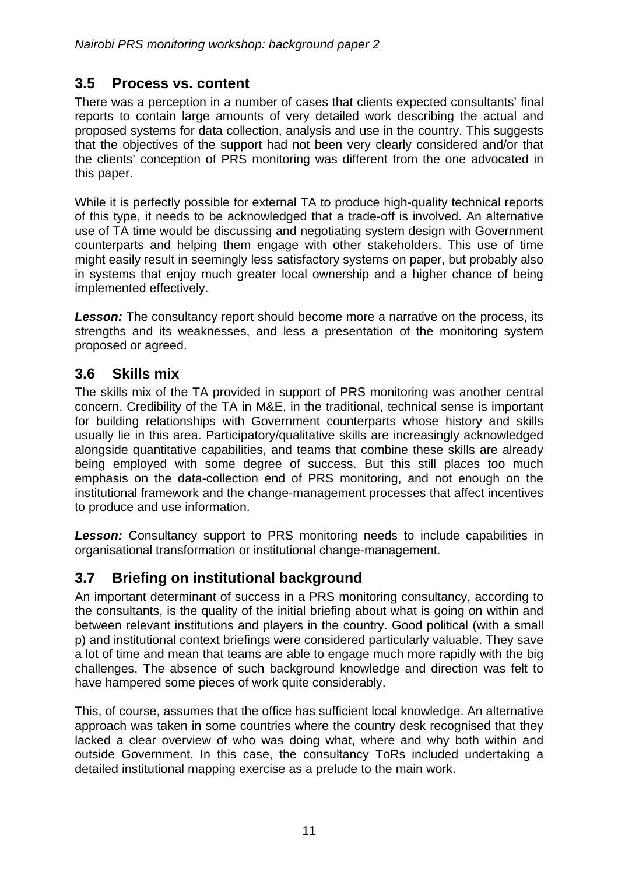### <span id="page-10-0"></span>**3.5 Process vs. content**

There was a perception in a number of cases that clients expected consultants' final reports to contain large amounts of very detailed work describing the actual and proposed systems for data collection, analysis and use in the country. This suggests that the objectives of the support had not been very clearly considered and/or that the clients' conception of PRS monitoring was different from the one advocated in this paper.

While it is perfectly possible for external TA to produce high-quality technical reports of this type, it needs to be acknowledged that a trade-off is involved. An alternative use of TA time would be discussing and negotiating system design with Government counterparts and helping them engage with other stakeholders. This use of time might easily result in seemingly less satisfactory systems on paper, but probably also in systems that enjoy much greater local ownership and a higher chance of being implemented effectively.

**Lesson:** The consultancy report should become more a narrative on the process, its strengths and its weaknesses, and less a presentation of the monitoring system proposed or agreed.

# **3.6 Skills mix**

The skills mix of the TA provided in support of PRS monitoring was another central concern. Credibility of the TA in M&E, in the traditional, technical sense is important for building relationships with Government counterparts whose history and skills usually lie in this area. Participatory/qualitative skills are increasingly acknowledged alongside quantitative capabilities, and teams that combine these skills are already being employed with some degree of success. But this still places too much emphasis on the data-collection end of PRS monitoring, and not enough on the institutional framework and the change-management processes that affect incentives to produce and use information.

**Lesson:** Consultancy support to PRS monitoring needs to include capabilities in organisational transformation or institutional change-management.

# **3.7 Briefing on institutional background**

An important determinant of success in a PRS monitoring consultancy, according to the consultants, is the quality of the initial briefing about what is going on within and between relevant institutions and players in the country. Good political (with a small p) and institutional context briefings were considered particularly valuable. They save a lot of time and mean that teams are able to engage much more rapidly with the big challenges. The absence of such background knowledge and direction was felt to have hampered some pieces of work quite considerably.

This, of course, assumes that the office has sufficient local knowledge. An alternative approach was taken in some countries where the country desk recognised that they lacked a clear overview of who was doing what, where and why both within and outside Government. In this case, the consultancy ToRs included undertaking a detailed institutional mapping exercise as a prelude to the main work.